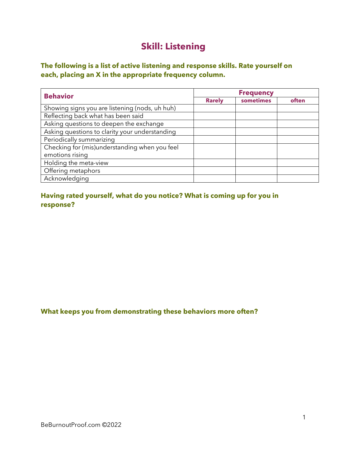# **Skill: Listening**

## **The following is a list of active listening and response skills. Rate yourself on each, placing an X in the appropriate frequency column.**

| <b>Behavior</b>                                | <b>Frequency</b> |           |       |
|------------------------------------------------|------------------|-----------|-------|
|                                                | <b>Rarely</b>    | sometimes | often |
| Showing signs you are listening (nods, uh huh) |                  |           |       |
| Reflecting back what has been said             |                  |           |       |
| Asking questions to deepen the exchange        |                  |           |       |
| Asking questions to clarity your understanding |                  |           |       |
| Periodically summarizing                       |                  |           |       |
| Checking for (mis)understanding when you feel  |                  |           |       |
| emotions rising                                |                  |           |       |
| Holding the meta-view                          |                  |           |       |
| Offering metaphors                             |                  |           |       |
| Acknowledging                                  |                  |           |       |

### **Having rated yourself, what do you notice? What is coming up for you in response?**

#### **What keeps you from demonstrating these behaviors more often?**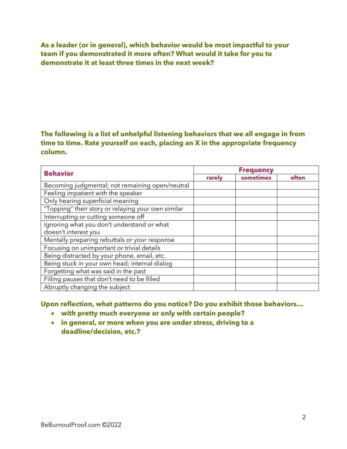**As a leader (or in general), which behavior would be most impactful to your team if you demonstrated it more often? What would it take for you to demonstrate it at least three times in the next week?**

## **The following is a list of unhelpful listening behaviors that we all engage in from time to time. Rate yourself on each, placing an X in the appropriate frequency column.**

| <b>Behavior</b>                                    | <b>Frequency</b> |           |       |
|----------------------------------------------------|------------------|-----------|-------|
|                                                    | rarely           | sometimes | often |
| Becoming judgmental; not remaining open/neutral    |                  |           |       |
| Feeling impatient with the speaker                 |                  |           |       |
| Only hearing superficial meaning                   |                  |           |       |
| "Topping" their story or relaying your own similar |                  |           |       |
| Interrupting or cutting someone off                |                  |           |       |
| Ignoring what you don't understand or what         |                  |           |       |
| doesn't interest you                               |                  |           |       |
| Mentally preparing rebuttals or your response      |                  |           |       |
| Focusing on unimportant or trivial details         |                  |           |       |
| Being distracted by your phone, email, etc.        |                  |           |       |
| Being stuck in your own head; internal dialog      |                  |           |       |
| Forgetting what was said in the past               |                  |           |       |
| Filling pauses that don't need to be filled        |                  |           |       |
| Abruptly changing the subject                      |                  |           |       |

**Upon reflection, what patterns do you notice? Do you exhibit those behaviors…**

- **with pretty much everyone or only with certain people?**
- **in general, or more when you are under stress, driving to a deadline/decision, etc.?**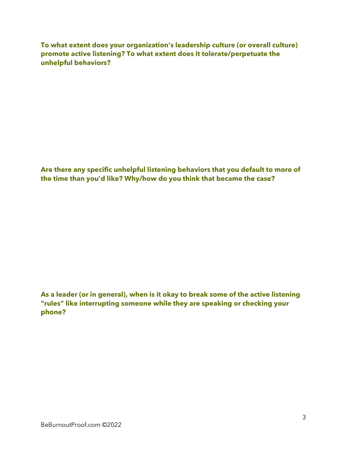**To what extent does your organization's leadership culture (or overall culture) promote active listening? To what extent does it tolerate/perpetuate the unhelpful behaviors?**

**Are there any specific unhelpful listening behaviors that you default to more of the time than you'd like? Why/how do you think that became the case?**

**As a leader (or in general), when is it okay to break some of the active listening "rules" like interrupting someone while they are speaking or checking your phone?**